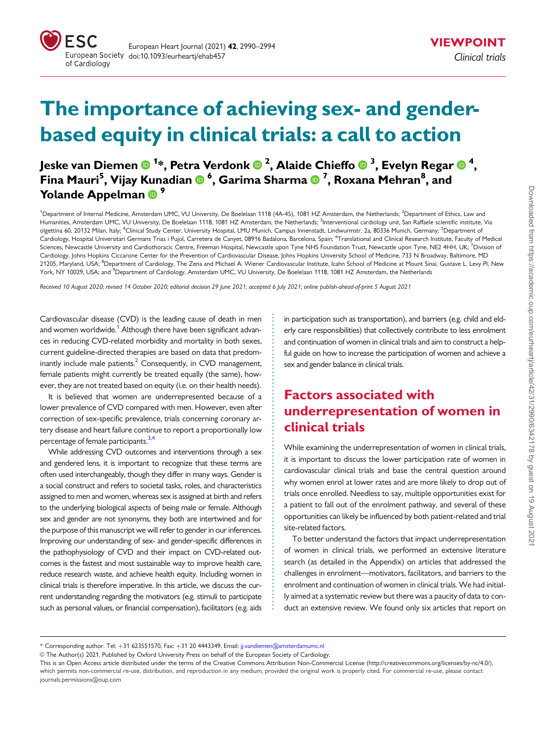<span id="page-0-0"></span>

# The importance of achieving sex- and genderbased equity in clinical trials: a call to action

Jeske van Diemen ® <sup>1</sup>\*, Petra Verdonk ® <sup>2</sup>, Alaide Chieffo ® <sup>3</sup>, Evelyn Regar ® <sup>4</sup>, Fina Mauri<sup>5</sup>, Vijay Kunadian ® <sup>6</sup>, Garima Sharma ® <sup>7</sup>, Roxana Mehran<sup>8</sup>, and Yolande Appelman <sup>9</sup>

<sup>1</sup>Department of Internal Medicine, Amsterdam UMC, VU University, De Boelelaan 1118 (4A-45), 1081 HZ Amsterdam, the Netherlands; <sup>2</sup>Department of Ethics, Law and Humanities, Amsterdam UMC, VU University, De Boelelaan 1118, 1081 HZ Amsterdam, the Netherlands; <sup>3</sup>Interventional cardiology unit, San Raffaele scientific institute, Via olgettina 60, 20132 Milan, Italy; <sup>4</sup>Clinical Study Center, University Hospital, LMU Munich, Campus Innenstadt, Lindwurmstr. 2a, 80336 Munich, Germany; <sup>5</sup>Department oí Cardiology, Hospital Universitari Germans Trias i Pujol, Carretera de Canyet, 08916 Badalona, Barcelona, Spain; <sup>6</sup>Translational and Clinical Research Institute, Faculty of Medical Sciences, Newcastle University and Cardiothoracic Centre, Freeman Hospital, Newcastle upon Tyne NHS Foundation Trust, Newcastle upon Tyne, NE2 4HH, UK; <sup>7</sup>Division of Cardiology, Johns Hopkins Ciccarone Center for the Prevention of Cardiovascular Disease, Johns Hopkins University School of Medicine, 733 N Broadway, Baltimore, MD 21205, Maryland, USA; <sup>8</sup>Department of Cardiology, The Zena and Michael A. Wiener Cardiovascular Institute, Icahn School of Medicine at Mount Sinai, Gustave L. Levy Pl, New York, NY 10029, USA; and <sup>9</sup>Department of Cardiology, Amsterdam UMC, VU University, De Boelelaan 1118, 1081 HZ Amsterdam, the Netherlands

Received 10 August 2020; revised 14 October 2020; editorial decision 29 June 2021; accepted 6 July 2021; online publish-ahead-of-print 5 August 2021

Cardiovascular disease (CVD) is the leading cause of death in men and women worldwide.<sup>1</sup> Although there have been significant advances in reducing CVD-related morbidity and mortality in both sexes, current guideline-directed therapies are based on data that predominantly include male patients. $<sup>2</sup>$  Consequently, in CVD management,</sup> female patients might currently be treated equally (the same), however, they are not treated based on equity (i.e. on their health needs).

It is believed that women are underrepresented because of a lower prevalence of CVD compared with men. However, even after correction of sex-specific prevalence, trials concerning coronary artery disease and heart failure continue to report a proportionally low percentage of female participants.<sup>3,[4](#page-3-0)</sup>

While addressing CVD outcomes and interventions through a sex and gendered lens, it is important to recognize that these terms are often used interchangeably, though they differ in many ways. Gender is a social construct and refers to societal tasks, roles, and characteristics assigned to men and women, whereas sex is assigned at birth and refers to the underlying biological aspects of being male or female. Although sex and gender are not synonyms, they both are intertwined and for the purpose of this manuscript we will refer to gender in our inferences. Improving our understanding of sex- and gender-specific differences in the pathophysiology of CVD and their impact on CVD-related outcomes is the fastest and most sustainable way to improve health care, reduce research waste, and achieve health equity. Including women in clinical trials is therefore imperative. In this article, we discuss the current understanding regarding the motivators (e.g. stimuli to participate such as personal values, or financial compensation), facilitators (e.g. aids

in participation such as transportation), and barriers (e.g. child and elderly care responsibilities) that collectively contribute to less enrolment and continuation of women in clinical trials and aim to construct a helpful guide on how to increase the participation of women and achieve a sex and gender balance in clinical trials.

# Factors associated with underrepresentation of women in clinical trials

While examining the underrepresentation of women in clinical trials, it is important to discuss the lower participation rate of women in cardiovascular clinical trials and base the central question around why women enrol at lower rates and are more likely to drop out of trials once enrolled. Needless to say, multiple opportunities exist for a patient to fall out of the enrolment pathway, and several of these opportunities can likely be influenced by both patient-related and trial site-related factors.

To better understand the factors that impact underrepresentation of women in clinical trials, we performed an extensive literature search (as detailed in the Appendix) on articles that addressed the challenges in enrolment—motivators, facilitators, and barriers to the enrolment and continuation of women in clinical trials. We had initially aimed at a systematic review but there was a paucity of data to conduct an extensive review. We found only six articles that report on

V<sup>C</sup> The Author(s) 2021. Published by Oxford University Press on behalf of the European Society of Cardiology.

. . . . . . . . . . . . . . . . . . . . . . . . . . . . . . . . . . . . . . . . . . . . . . . . . . . . . . . . . . . . . . . . . . . . . . . . . . . . . . . . . .

<sup>\*</sup> Corresponding author. Tel: +31 623551570, Fax: +31 20 4443349, Email: jj.vandiemen@amsterdamumc.nl

This is an Open Access article distributed under the terms of the Creative Commons Attribution Non-Commercial License [\(http://creativecommons.org/licenses/by-nc/4.0/\)](http://creativecommons.org/licenses/by-nc/4.0/). which permits non-commercial re-use, distribution, and reproduction in any medium, provided the original work is properly cited. For commercial re-use, please contact journals.permissions@oup.com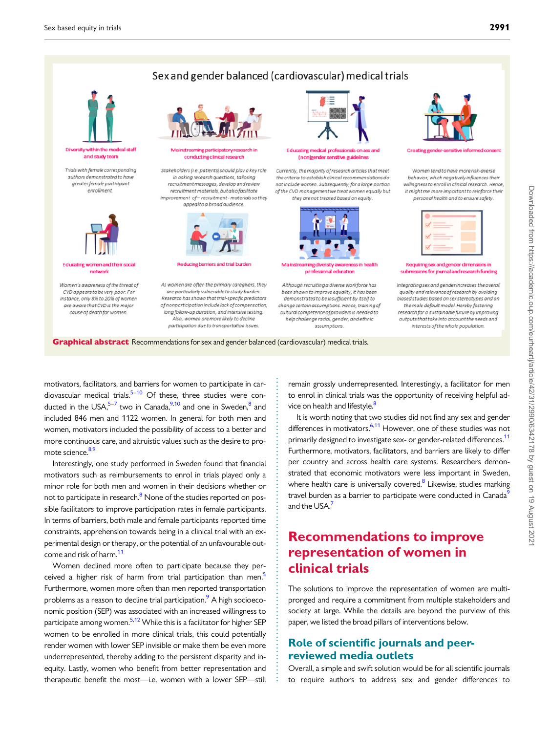## Sex and gender balanced (cardiovascular) medical trials

<span id="page-1-0"></span>

and study team

Trials with female corresponding authors demonstrated to have greater female participant enrollment



**Educating women and their social** network

Women's awareness of the threat of CVD appears to be very poor. For instance, only 8% to 20% of women are aware that CVD is the major cause of death for womer



nstreaming participatory re conducting clinical research

Stakeholders (i.e. patients) should play a key role in asking research questions, tailoring recruitment messages, develop and review recruitment materials, but also facilitate improvement of-recruitment - materials so they appeal to a broad audience



**Reducing barriers and trial burder** 

As women are often the primary caregivers, they are particularly vulnerable to study burden. Research has shown that trial-specific predictors of nonparticipation include lack of compensation, long follow-up duration, and intensive testing. Also, women are more likely to decline participation due to transportation issues



Educating medical professionals on sex and (nonlgender sensitive guidelines

Currently, the majority of research articles that meet the criteria to establish clinical recommendations do not include women, Subsequently, for a large portion of the CVD management we treat women equally but they are not treated based on eaulty



Mainstreaming diversity at professional education

Although recruiting a diverse workforce has been shown to improve equality, it has been demonstrated to be insufficient by itself to change certain assumptions. Hence, training of cultural competence of providers is needed to help challenge racial, gender, and ethnic assumptions



**Creating gender**admanan

Women tend to have more risk-averse behavior, which negatively influences their willinaness to enroll in clinical research. Hence, it might me more important to reinforce their personal health and to ensure safety

$$
\begin{array}{c}\n\mathbf{x} \\
\mathbf{y} \\
\mathbf{y} \\
\mathbf{y} \\
\mathbf{y}\n\end{array}
$$

Requiring sex and gender dimensions in submissions for journal and research funding

Integrating sex and gender increases the overall quality and relevance of research by avoiding biased studies based on sex stereotypes and on the male default model. Hereby fostering research for a sustainable future by improving outputs that take into account the needs and interests of the whole population.

**Graphical abstract** Recommendations for sex and gender balanced (cardiovascular) medical trials.

. motivators, facilitators, and barriers for women to participate in cardiovascular medical trials. $5-10$  $5-10$  Of these, three studies were conducted in the USA, $5-7$  two in Canada,  $9,10$  $9,10$  and one in Sweden,  $8$  and included 846 men and 1122 women. In general for both men and women, motivators included the possibility of access to a better and more continuous care, and altruistic values such as the desire to pro-mote science.<sup>[8,9](#page-4-0)</sup>

Interestingly, one study performed in Sweden found that financial motivators such as reimbursements to enrol in trials played only a minor role for both men and women in their decisions whether or not to participate in research.<sup>[8](#page-4-0)</sup> None of the studies reported on possible facilitators to improve participation rates in female participants. In terms of barriers, both male and female participants reported time constraints, apprehension towards being in a clinical trial with an experimental design or therapy, or the potential of an unfavourable outcome and risk of harm.<sup>11</sup>

Women declined more often to participate because they per-ceived a higher risk of harm from trial participation than men.<sup>[5](#page-4-0)</sup> Furthermore, women more often than men reported transportation problems as a reason to decline trial participation.<sup>9</sup> A high socioeconomic position (SEP) was associated with an increased willingness to participate among women.<sup>[5,12](#page-4-0)</sup> While this is a facilitator for higher SEP women to be enrolled in more clinical trials, this could potentially render women with lower SEP invisible or make them be even more underrepresented, thereby adding to the persistent disparity and inequity. Lastly, women who benefit from better representation and therapeutic benefit the most—i.e. women with a lower SEP—still

remain grossly underrepresented. Interestingly, a facilitator for men to enrol in clinical trials was the opportunity of receiving helpful advice on health and lifestyle.<sup>8</sup>

It is worth noting that two studies did not find any sex and gender differences in motivators.<sup>6,11</sup> However, one of these studies was not primarily designed to investigate sex- or gender-related differences.<sup>[11](#page-4-0)</sup> Furthermore, motivators, facilitators, and barriers are likely to differ per country and across health care systems. Researchers demonstrated that economic motivators were less important in Sweden, where health care is universally covered. $8$  Likewise, studies marking travel burden as a barrier to participate were conducted in Canada<sup>5</sup> and the USA.<sup>7</sup>

# Recommendations to improve representation of women in clinical trials

The solutions to improve the representation of women are multipronged and require a commitment from multiple stakeholders and society at large. While the details are beyond the purview of this paper, we listed the broad pillars of interventions below.

## Role of scientific journals and peerreviewed media outlets

. . . . . . . . . . . . . . . . . . . . . . . . . . . . . . . . . . . . . . . . . . . . . . . . . . . . . . . . . . . . . . . . . . . . . . . . . . . . . . . . . . .

Overall, a simple and swift solution would be for all scientific journals to require authors to address sex and gender differences to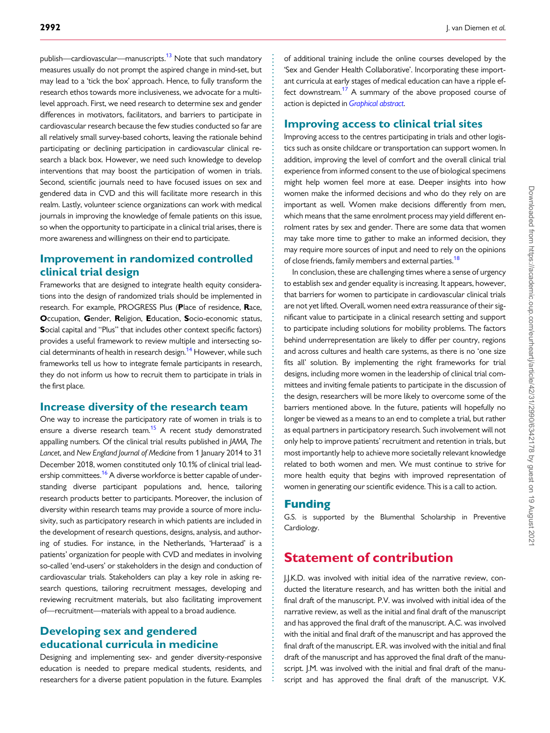<span id="page-2-0"></span>publish—cardiovascular—manuscripts.<sup>[13](#page-4-0)</sup> Note that such mandatory measures usually do not prompt the aspired change in mind-set, but may lead to a 'tick the box' approach. Hence, to fully transform the research ethos towards more inclusiveness, we advocate for a multilevel approach. First, we need research to determine sex and gender differences in motivators, facilitators, and barriers to participate in cardiovascular research because the few studies conducted so far are all relatively small survey-based cohorts, leaving the rationale behind participating or declining participation in cardiovascular clinical research a black box. However, we need such knowledge to develop interventions that may boost the participation of women in trials. Second, scientific journals need to have focused issues on sex and gendered data in CVD and this will facilitate more research in this realm. Lastly, volunteer science organizations can work with medical journals in improving the knowledge of female patients on this issue, so when the opportunity to participate in a clinical trial arises, there is more awareness and willingness on their end to participate.

### Improvement in randomized controlled clinical trial design

Frameworks that are designed to integrate health equity considerations into the design of randomized trials should be implemented in research. For example, PROGRESS Plus (Place of residence, Race, Occupation, Gender, Religion, Education, Socio-economic status, Social capital and "Plus" that includes other context specific factors) provides a useful framework to review multiple and intersecting social determinants of health in research design.<sup>14</sup> However, while such frameworks tell us how to integrate female participants in research, they do not inform us how to recruit them to participate in trials in the first place.

#### Increase diversity of the research team

One way to increase the participatory rate of women in trials is to ensure a diverse research team.<sup>[15](#page-4-0)</sup> A recent study demonstrated appalling numbers. Of the clinical trial results published in JAMA, The Lancet, and New England Journal of Medicine from 1 January 2014 to 31 December 2018, women constituted only 10.1% of clinical trial leadership committees.<sup>16</sup> A diverse workforce is better capable of understanding diverse participant populations and, hence, tailoring research products better to participants. Moreover, the inclusion of diversity within research teams may provide a source of more inclusivity, such as participatory research in which patients are included in the development of research questions, designs, analysis, and authoring of studies. For instance, in the Netherlands, 'Harteraad' is a patients' organization for people with CVD and mediates in involving so-called 'end-users' or stakeholders in the design and conduction of cardiovascular trials. Stakeholders can play a key role in asking research questions, tailoring recruitment messages, developing and reviewing recruitment materials, but also facilitating improvement of—recruitment—materials with appeal to a broad audience.

## Developing sex and gendered educational curricula in medicine

Designing and implementing sex- and gender diversity-responsive education is needed to prepare medical students, residents, and researchers for a diverse patient population in the future. Examples of additional training include the online courses developed by the 'Sex and Gender Health Collaborative'. Incorporating these important curricula at early stages of medical education can have a ripple effect downstream.<sup>17</sup> A summary of the above proposed course of action is depicted in [Graphical abstract](#page-1-0).

#### Improving access to clinical trial sites

Improving access to the centres participating in trials and other logistics such as onsite childcare or transportation can support women. In addition, improving the level of comfort and the overall clinical trial experience from informed consent to the use of biological specimens might help women feel more at ease. Deeper insights into how women make the informed decisions and who do they rely on are important as well. Women make decisions differently from men, which means that the same enrolment process may yield different enrolment rates by sex and gender. There are some data that women may take more time to gather to make an informed decision, they may require more sources of input and need to rely on the opinions of close friends, family members and external parties.<sup>18</sup>

In conclusion, these are challenging times where a sense of urgency to establish sex and gender equality is increasing. It appears, however, that barriers for women to participate in cardiovascular clinical trials are not yet lifted. Overall, women need extra reassurance of their significant value to participate in a clinical research setting and support to participate including solutions for mobility problems. The factors behind underrepresentation are likely to differ per country, regions and across cultures and health care systems, as there is no 'one size fits all' solution. By implementing the right frameworks for trial designs, including more women in the leadership of clinical trial committees and inviting female patients to participate in the discussion of the design, researchers will be more likely to overcome some of the barriers mentioned above. In the future, patients will hopefully no longer be viewed as a means to an end to complete a trial, but rather as equal partners in participatory research. Such involvement will not only help to improve patients' recruitment and retention in trials, but most importantly help to achieve more societally relevant knowledge related to both women and men. We must continue to strive for more health equity that begins with improved representation of women in generating our scientific evidence. This is a call to action.

#### Funding

. . . . . . . . . . . . . . . . . . . . . . . . . . . . . . . . . . . . . . . . . . . . . . . . . . . . . . . . . . . . . . . . . . . . . . . . . . . . . . . . . . . . . . . . . . . . . . . . . . . . . . . . . . . . . . . . . . . . . . . . . . . . . . . . . . . . . . . . . . . . . . . . . . . . . . . . . . . . . . . . . . . . . . . . . . . .

G.S. is supported by the Blumenthal Scholarship in Preventive Cardiology.

## Statement of contribution

J.J.K.D. was involved with initial idea of the narrative review, conducted the literature research, and has written both the initial and final draft of the manuscript. P.V. was involved with initial idea of the narrative review, as well as the initial and final draft of the manuscript and has approved the final draft of the manuscript. A.C. was involved with the initial and final draft of the manuscript and has approved the final draft of the manuscript. E.R. was involved with the initial and final draft of the manuscript and has approved the final draft of the manuscript. J.M. was involved with the initial and final draft of the manuscript and has approved the final draft of the manuscript. V.K.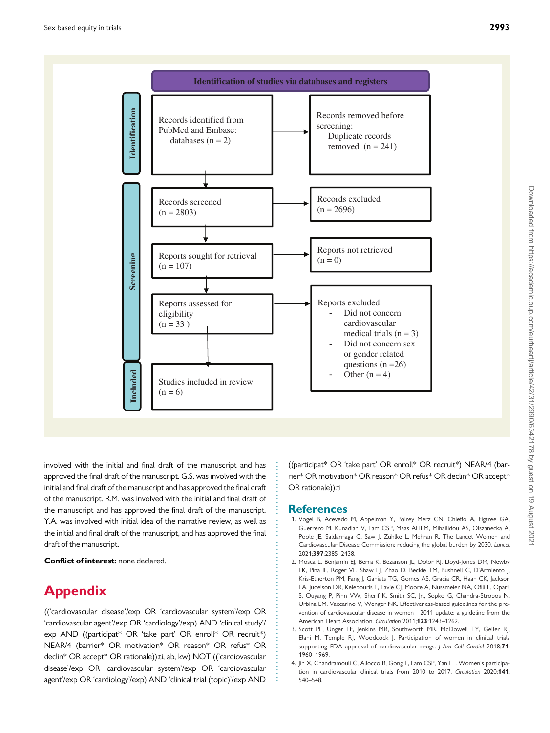<span id="page-3-0"></span>

. involved with the initial and final draft of the manuscript and has approved the final draft of the manuscript. G.S. was involved with the initial and final draft of the manuscript and has approved the final draft of the manuscript. R.M. was involved with the initial and final draft of the manuscript and has approved the final draft of the manuscript. Y.A. was involved with initial idea of the narrative review, as well as the initial and final draft of the manuscript, and has approved the final draft of the manuscript.

Conflict of interest: none declared.

# Appendix

(('cardiovascular disease'/exp OR 'cardiovascular system'/exp OR 'cardiovascular agent'/exp OR 'cardiology'/exp) AND 'clinical study'/ exp AND ((participat\* OR 'take part' OR enroll\* OR recruit\*) NEAR/4 (barrier\* OR motivation\* OR reason\* OR refus\* OR declin\* OR accept\* OR rationale)):ti, ab, kw) NOT (('cardiovascular disease'/exp OR 'cardiovascular system'/exp OR 'cardiovascular agent'/exp OR 'cardiology'/exp) AND 'clinical trial (topic)'/exp AND

((participat\* OR 'take part' OR enroll\* OR recruit\*) NEAR/4 (barrier\* OR motivation\* OR reason\* OR refus\* OR declin\* OR accept\* OR rationale)):ti

#### **References**

. . . . . . . . . . . . . . . . . . . . . . . . . . . . . . . . . . . . . . . . . . . . . . . . . . . . . . . . . . . .

- [1](#page-0-0). Vogel B, Acevedo M, Appelman Y, Bairey Merz CN, Chieffo A, Figtree GA, Guerrero M, Kunadian V, Lam CSP, Maas AHEM, Mihailidou AS, Olszanecka A, Poole JE, Saldarriaga C, Saw J, Zühlke L, Mehran R. The Lancet Women and Cardiovascular Disease Commission: reducing the global burden by 2030. Lancet 2021;397:2385–2438.
- [2](#page-0-0). Mosca L, Benjamin EJ, Berra K, Bezanson JL, Dolor RJ, Lloyd-Jones DM, Newby LK, Pina IL, Roger VL, Shaw LJ, Zhao D, Beckie TM, Bushnell C, D'Armiento J, Kris-Etherton PM, Fang J, Ganiats TG, Gomes AS, Gracia CR, Haan CK, Jackson EA, Judelson DR, Kelepouris E, Lavie CJ, Moore A, Nussmeier NA, Ofili E, Oparil S, Ouyang P, Pinn VW, Sherif K, Smith SC, Jr., Sopko G, Chandra-Strobos N, Urbina EM, Vaccarino V, Wenger NK. Effectiveness-based guidelines for the prevention of cardiovascular disease in women—2011 update: a guideline from the American Heart Association. Circulation 2011;123:1243–1262.
- [3](#page-0-0). Scott PE, Unger EF, Jenkins MR, Southworth MR, McDowell TY, Geller RJ, Elahi M, Temple RJ, Woodcock J. Participation of women in clinical trials supporting FDA approval of cardiovascular drugs. J Am Coll Cardiol 2018;71: 1960–1969.
- [4](#page-0-0). Jin X, Chandramouli C, Allocco B, Gong E, Lam CSP, Yan LL. Women's participation in cardiovascular clinical trials from 2010 to 2017. Circulation 2020;141: 540–548.